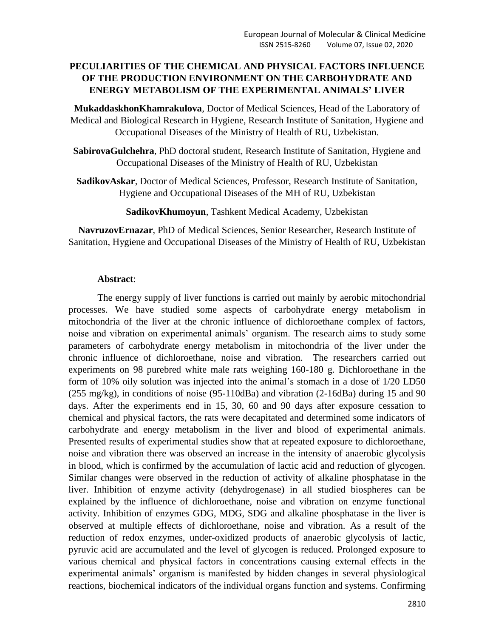## **PECULIARITIES OF THE CHEMICAL AND PHYSICAL FACTORS INFLUENCE OF THE PRODUCTION ENVIRONMENT ON THE CARBOHYDRATE AND ENERGY METABOLISM OF THE EXPERIMENTAL ANIMALS' LIVER**

**MukaddaskhonKhamrakulova**, Doctor of Medical Sciences, Head of the Laboratory of Medical and Biological Research in Hygiene, Research Institute of Sanitation, Hygiene and Occupational Diseases of the Ministry of Health of RU, Uzbekistan.

**SabirovaGulchehra**, PhD doctoral student, Research Institute of Sanitation, Hygiene and Occupational Diseases of the Ministry of Health of RU, Uzbekistan

**SadikovAskar**, Doctor of Medical Sciences, Professor, Research Institute of Sanitation, Hygiene and Occupational Diseases of the MH of RU, Uzbekistan

**SadikovKhumoyun**, Tashkent Medical Academy, Uzbekistan

**NavruzovErnazar**, PhD of Medical Sciences, Senior Researcher, Research Institute of Sanitation, Hygiene and Occupational Diseases of the Ministry of Health of RU, Uzbekistan

#### **Abstract**:

The energy supply of liver functions is carried out mainly by aerobic mitochondrial processes. We have studied some aspects of carbohydrate energy metabolism in mitochondria of the liver at the chronic influence of dichloroethane complex of factors, noise and vibration on experimental animals' organism. The research aims to study some parameters of carbohydrate energy metabolism in mitochondria of the liver under the chronic influence of dichloroethane, noise and vibration. The researchers carried out experiments on 98 purebred white male rats weighing 160-180 g. Dichloroethane in the form of 10% oily solution was injected into the animal's stomach in a dose of 1/20 LD50 (255 mg/kg), in conditions of noise (95-110dBa) and vibration (2-16dBa) during 15 and 90 days. After the experiments end in 15, 30, 60 and 90 days after exposure cessation to chemical and physical factors, the rats were decapitated and determined some indicators of carbohydrate and energy metabolism in the liver and blood of experimental animals. Presented results of experimental studies show that at repeated exposure to dichloroethane, noise and vibration there was observed an increase in the intensity of anaerobic glycolysis in blood, which is confirmed by the accumulation of lactic acid and reduction of glycogen. Similar changes were observed in the reduction of activity of alkaline phosphatase in the liver. Inhibition of enzyme activity (dehydrogenase) in all studied biospheres can be explained by the influence of dichloroethane, noise and vibration on enzyme functional activity. Inhibition of enzymes GDG, MDG, SDG and alkaline phosphatase in the liver is observed at multiple effects of dichloroethane, noise and vibration. As a result of the reduction of redox enzymes, under-oxidized products of anaerobic glycolysis of lactic, pyruvic acid are accumulated and the level of glycogen is reduced. Prolonged exposure to various chemical and physical factors in concentrations causing external effects in the experimental animals' organism is manifested by hidden changes in several physiological reactions, biochemical indicators of the individual organs function and systems. Confirming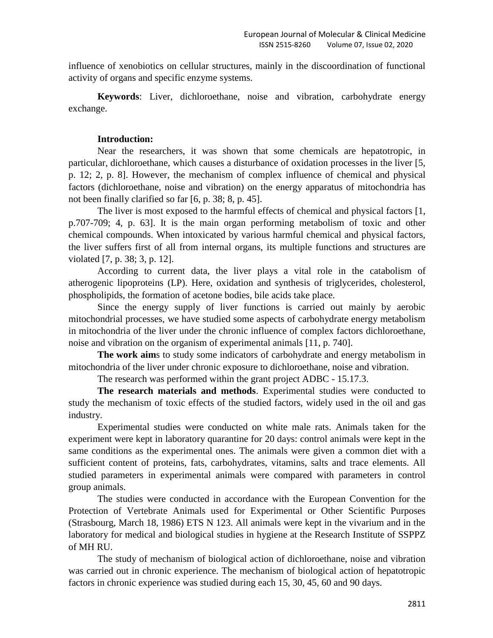influence of xenobiotics on cellular structures, mainly in the discoordination of functional activity of organs and specific enzyme systems.

**Keywords**: Liver, dichloroethane, noise and vibration, carbohydrate energy exchange.

### **Introduction:**

Near the researchers, it was shown that some chemicals are hepatotropic, in particular, dichloroethane, which causes a disturbance of oxidation processes in the liver [5, p. 12; 2, p. 8]. However, the mechanism of complex influence of chemical and physical factors (dichloroethane, noise and vibration) on the energy apparatus of mitochondria has not been finally clarified so far [6, p. 38; 8, p. 45].

The liver is most exposed to the harmful effects of chemical and physical factors [1, p.707-709; 4, p. 63]. It is the main organ performing metabolism of toxic and other chemical compounds. When intoxicated by various harmful chemical and physical factors, the liver suffers first of all from internal organs, its multiple functions and structures are violated [7, p. 38; 3, p. 12].

According to current data, the liver plays a vital role in the catabolism of atherogenic lipoproteins (LP). Here, oxidation and synthesis of triglycerides, cholesterol, phospholipids, the formation of acetone bodies, bile acids take place.

Since the energy supply of liver functions is carried out mainly by aerobic mitochondrial processes, we have studied some aspects of carbohydrate energy metabolism in mitochondria of the liver under the chronic influence of complex factors dichloroethane, noise and vibration on the organism of experimental animals [11, p. 740].

**The work aim**s to study some indicators of carbohydrate and energy metabolism in mitochondria of the liver under chronic exposure to dichloroethane, noise and vibration.

The research was performed within the grant project ADBC - 15.17.3.

**The research materials and methods**. Experimental studies were conducted to study the mechanism of toxic effects of the studied factors, widely used in the oil and gas industry.

Experimental studies were conducted on white male rats. Animals taken for the experiment were kept in laboratory quarantine for 20 days: control animals were kept in the same conditions as the experimental ones. The animals were given a common diet with a sufficient content of proteins, fats, carbohydrates, vitamins, salts and trace elements. All studied parameters in experimental animals were compared with parameters in control group animals.

The studies were conducted in accordance with the European Convention for the Protection of Vertebrate Animals used for Experimental or Other Scientific Purposes (Strasbourg, March 18, 1986) ETS N 123. All animals were kept in the vivarium and in the laboratory for medical and biological studies in hygiene at the Research Institute of SSPPZ of MH RU.

The study of mechanism of biological action of dichloroethane, noise and vibration was carried out in chronic experience. The mechanism of biological action of hepatotropic factors in chronic experience was studied during each 15, 30, 45, 60 and 90 days.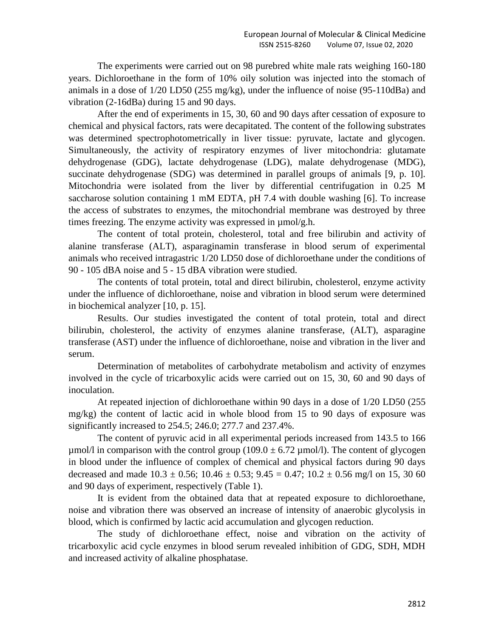The experiments were carried out on 98 purebred white male rats weighing 160-180 years. Dichloroethane in the form of 10% oily solution was injected into the stomach of animals in a dose of 1/20 LD50 (255 mg/kg), under the influence of noise (95-110dBa) and vibration (2-16dBa) during 15 and 90 days.

After the end of experiments in 15, 30, 60 and 90 days after cessation of exposure to chemical and physical factors, rats were decapitated. The content of the following substrates was determined spectrophotometrically in liver tissue: pyruvate, lactate and glycogen. Simultaneously, the activity of respiratory enzymes of liver mitochondria: glutamate dehydrogenase (GDG), lactate dehydrogenase (LDG), malate dehydrogenase (MDG), succinate dehydrogenase (SDG) was determined in parallel groups of animals [9, p. 10]. Mitochondria were isolated from the liver by differential centrifugation in 0.25 M saccharose solution containing 1 mM EDTA, pH 7.4 with double washing [6]. To increase the access of substrates to enzymes, the mitochondrial membrane was destroyed by three times freezing. The enzyme activity was expressed in µmol/g.h.

The content of total protein, cholesterol, total and free bilirubin and activity of alanine transferase (ALT), asparaginamin transferase in blood serum of experimental animals who received intragastric 1/20 LD50 dose of dichloroethane under the conditions of 90 - 105 dBA noise and 5 - 15 dBA vibration were studied.

The contents of total protein, total and direct bilirubin, cholesterol, enzyme activity under the influence of dichloroethane, noise and vibration in blood serum were determined in biochemical analyzer [10, p. 15].

Results. Our studies investigated the content of total protein, total and direct bilirubin, cholesterol, the activity of enzymes alanine transferase, (ALT), asparagine transferase (AST) under the influence of dichloroethane, noise and vibration in the liver and serum.

Determination of metabolites of carbohydrate metabolism and activity of enzymes involved in the cycle of tricarboxylic acids were carried out on 15, 30, 60 and 90 days of inoculation.

At repeated injection of dichloroethane within 90 days in a dose of 1/20 LD50 (255 mg/kg) the content of lactic acid in whole blood from 15 to 90 days of exposure was significantly increased to 254.5; 246.0; 277.7 and 237.4%.

The content of pyruvic acid in all experimental periods increased from 143.5 to 166  $\mu$ mol/l in comparison with the control group (109.0  $\pm$  6.72  $\mu$ mol/l). The content of glycogen in blood under the influence of complex of chemical and physical factors during 90 days decreased and made  $10.3 \pm 0.56$ ;  $10.46 \pm 0.53$ ;  $9.45 = 0.47$ ;  $10.2 \pm 0.56$  mg/l on 15, 30 60 and 90 days of experiment, respectively (Table 1).

It is evident from the obtained data that at repeated exposure to dichloroethane, noise and vibration there was observed an increase of intensity of anaerobic glycolysis in blood, which is confirmed by lactic acid accumulation and glycogen reduction.

The study of dichloroethane effect, noise and vibration on the activity of tricarboxylic acid cycle enzymes in blood serum revealed inhibition of GDG, SDH, MDH and increased activity of alkaline phosphatase.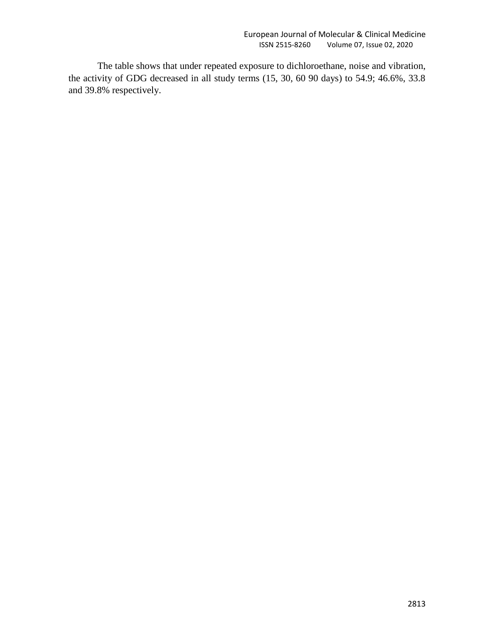The table shows that under repeated exposure to dichloroethane, noise and vibration, the activity of GDG decreased in all study terms (15, 30, 60 90 days) to 54.9; 46.6%, 33.8 and 39.8% respectively.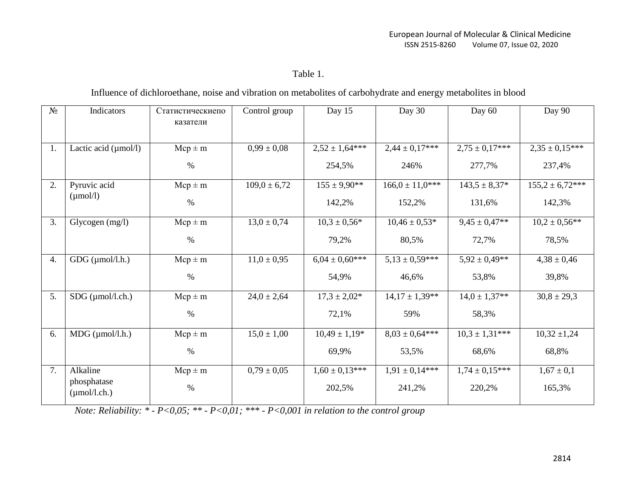Table 1.

Influence of dichloroethane, noise and vibration on metabolites of carbohydrate and energy metabolites in blood

| $N_2$            | Indicators                       | Статистическиепо<br>казатели | Control group    | Day 15             | Day 30              | Day 60             | Day 90              |
|------------------|----------------------------------|------------------------------|------------------|--------------------|---------------------|--------------------|---------------------|
| 1.               | Lactic acid $(\mu$ mol/l)        | $Mcp \pm m$                  | $0,99 \pm 0,08$  | $2,52 \pm 1,64***$ | $2,44 \pm 0,17***$  | $2,75 \pm 0,17***$ | $2,35 \pm 0,15***$  |
|                  |                                  | $\%$                         |                  | 254,5%             | 246%                | 277,7%             | 237,4%              |
| 2.               | Pyruvic acid                     | $Mcp \pm m$                  | $109.0 \pm 6.72$ | $155 \pm 9.90$ **  | $166.0 \pm 11.0***$ | $143,5 \pm 8,37*$  | $155,2 \pm 6,72***$ |
|                  | $(\mu \text{mol/l})$             | $\%$                         |                  | 142,2%             | 152,2%              | 131,6%             | 142,3%              |
| 3.               | Glycogen $(mg/l)$                | $Mcp \pm m$                  | $13,0 \pm 0,74$  | $10.3 \pm 0.56*$   | $10,46 \pm 0,53*$   | $9,45 \pm 0,47**$  | $10,2 \pm 0.56$ **  |
|                  |                                  | $\%$                         |                  | 79,2%              | 80,5%               | 72,7%              | 78,5%               |
| $\overline{4}$ . | $GDG$ ( $\mu$ mol/l.h.)          | $Mcp \pm m$                  | $11,0 \pm 0.95$  | $6.04 \pm 0.60***$ | $5,13 \pm 0,59$ *** | $5,92 \pm 0,49**$  | $4,38 \pm 0,46$     |
|                  |                                  | $\%$                         |                  | 54,9%              | 46,6%               | 53,8%              | 39,8%               |
| 5.               | $SDG$ ( $\mu$ mol/l.ch.)         | $Mcp \pm m$                  | $24,0 \pm 2,64$  | $17.3 \pm 2.02*$   | $14,17 \pm 1,39**$  | $14.0 \pm 1.37**$  | $30,8 \pm 29,3$     |
|                  |                                  | $\%$                         |                  | 72,1%              | 59%                 | 58,3%              |                     |
| 6.               | $MDG$ ( $\mu$ mol/l.h.)          | $Mcp \pm m$                  | $15.0 \pm 1.00$  | $10,49 \pm 1,19*$  | $8.03 \pm 0.64***$  | $10.3 \pm 1.31***$ | $10,32 \pm 1,24$    |
|                  |                                  | $\%$                         |                  | 69,9%              | 53,5%               | 68,6%              | 68,8%               |
| 7.               | Alkaline                         | $Mcp \pm m$                  | $0,79 \pm 0,05$  | $1,60 \pm 0,13***$ | $1.91 \pm 0.14***$  | $1,74 \pm 0,15***$ | $1,67 \pm 0,1$      |
|                  | phosphatase<br>$(\mu$ mol/l.ch.) | $\%$                         |                  | 202,5%             | 241,2%              | 220,2%             | 165,3%              |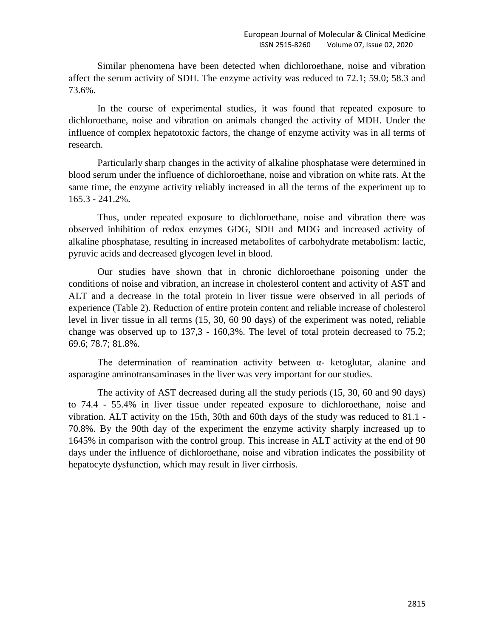Similar phenomena have been detected when dichloroethane, noise and vibration affect the serum activity of SDH. The enzyme activity was reduced to 72.1; 59.0; 58.3 and 73.6%.

In the course of experimental studies, it was found that repeated exposure to dichloroethane, noise and vibration on animals changed the activity of MDH. Under the influence of complex hepatotoxic factors, the change of enzyme activity was in all terms of research.

Particularly sharp changes in the activity of alkaline phosphatase were determined in blood serum under the influence of dichloroethane, noise and vibration on white rats. At the same time, the enzyme activity reliably increased in all the terms of the experiment up to 165.3 - 241.2%.

Thus, under repeated exposure to dichloroethane, noise and vibration there was observed inhibition of redox enzymes GDG, SDH and MDG and increased activity of alkaline phosphatase, resulting in increased metabolites of carbohydrate metabolism: lactic, pyruvic acids and decreased glycogen level in blood.

Our studies have shown that in chronic dichloroethane poisoning under the conditions of noise and vibration, an increase in cholesterol content and activity of AST and ALT and a decrease in the total protein in liver tissue were observed in all periods of experience (Table 2). Reduction of entire protein content and reliable increase of cholesterol level in liver tissue in all terms (15, 30, 60 90 days) of the experiment was noted, reliable change was observed up to 137,3 - 160,3%. The level of total protein decreased to 75.2; 69.6; 78.7; 81.8%.

The determination of reamination activity between  $\alpha$ - ketoglutar, alanine and asparagine aminotransaminases in the liver was very important for our studies.

The activity of AST decreased during all the study periods (15, 30, 60 and 90 days) to 74.4 - 55.4% in liver tissue under repeated exposure to dichloroethane, noise and vibration. ALT activity on the 15th, 30th and 60th days of the study was reduced to 81.1 - 70.8%. By the 90th day of the experiment the enzyme activity sharply increased up to 1645% in comparison with the control group. This increase in ALT activity at the end of 90 days under the influence of dichloroethane, noise and vibration indicates the possibility of hepatocyte dysfunction, which may result in liver cirrhosis.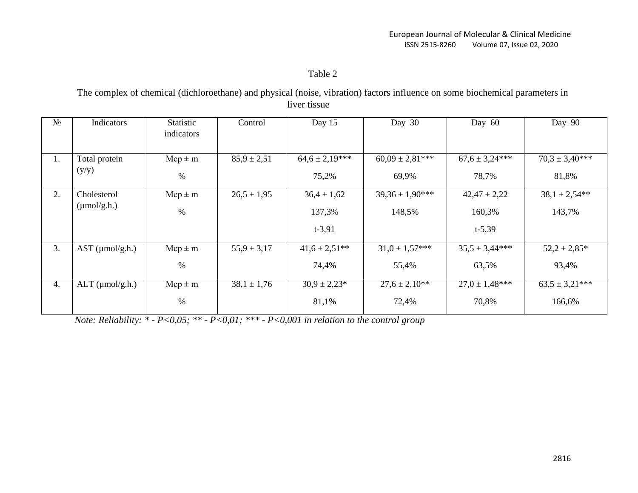## Table 2

The complex of chemical (dichloroethane) and physical (noise, vibration) factors influence on some biochemical parameters in liver tissue

| $N_2$ | Indicators              | Statistic<br>indicators | Control         | Day 15             | Day 30               | Day 60             | Day 90              |
|-------|-------------------------|-------------------------|-----------------|--------------------|----------------------|--------------------|---------------------|
| 1.    | Total protein           | $Mcp \pm m$             | $85,9 \pm 2,51$ | $64.6 \pm 2.19***$ | $60,09 \pm 2,81***$  | $67.6 \pm 3.24***$ | $70,3 \pm 3,40$ *** |
|       | (y/y)                   | $\%$                    |                 | 75,2%              | 69,9%                | 78,7%              | 81,8%               |
| 2.    | Cholesterol             | $Mcp \pm m$             | $26.5 \pm 1.95$ | $36,4 \pm 1,62$    | $39,36 \pm 1,90$ *** | $42,47 \pm 2,22$   | $38,1 \pm 2,54**$   |
|       | $(\mu \text{mol/g.h.})$ | $\%$                    |                 | 137,3%             | 148,5%               | 160,3%             | 143,7%              |
|       |                         |                         |                 | $t - 3,91$         |                      | $t - 5,39$         |                     |
| 3.    | $AST$ ( $\mu$ mol/g.h.) | $Mcp \pm m$             | $55.9 \pm 3.17$ | $41.6 \pm 2.51$ ** | $31.0 \pm 1.57***$   | $35.5 \pm 3.44***$ | $52,2 \pm 2,85*$    |
|       |                         | %                       |                 | 74,4%              | 55,4%                | 63,5%              | 93,4%               |
| 4.    | $ALT$ ( $\mu$ mol/g.h.) | $Mcp \pm m$             | $38,1 \pm 1,76$ | $30.9 \pm 2.23*$   | $27.6 \pm 2.10**$    | $27.0 \pm 1.48***$ | $63.5 \pm 3.21***$  |
|       |                         | $\%$                    |                 | 81,1%              | 72,4%                | 70,8%              | 166,6%              |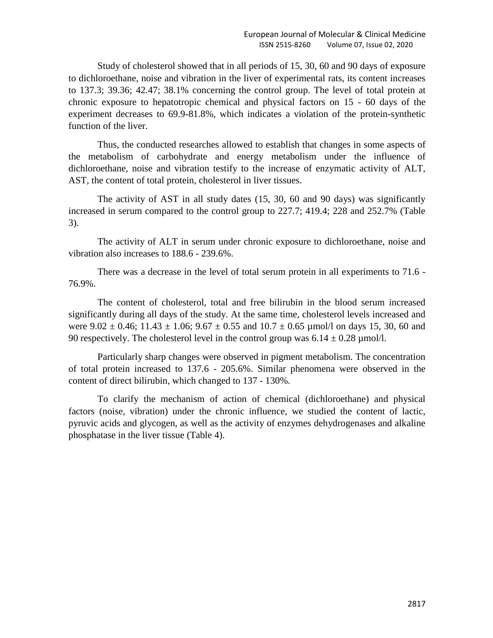Study of cholesterol showed that in all periods of 15, 30, 60 and 90 days of exposure to dichloroethane, noise and vibration in the liver of experimental rats, its content increases to 137.3; 39.36; 42.47; 38.1% concerning the control group. The level of total protein at chronic exposure to hepatotropic chemical and physical factors on 15 - 60 days of the experiment decreases to 69.9-81.8%, which indicates a violation of the protein-synthetic function of the liver.

Thus, the conducted researches allowed to establish that changes in some aspects of the metabolism of carbohydrate and energy metabolism under the influence of dichloroethane, noise and vibration testify to the increase of enzymatic activity of ALT, AST, the content of total protein, cholesterol in liver tissues.

The activity of AST in all study dates (15, 30, 60 and 90 days) was significantly increased in serum compared to the control group to 227.7; 419.4; 228 and 252.7% (Table 3).

The activity of ALT in serum under chronic exposure to dichloroethane, noise and vibration also increases to 188.6 - 239.6%.

There was a decrease in the level of total serum protein in all experiments to 71.6 - 76.9%.

The content of cholesterol, total and free bilirubin in the blood serum increased significantly during all days of the study. At the same time, cholesterol levels increased and were  $9.02 \pm 0.46$ ;  $11.43 \pm 1.06$ ;  $9.67 \pm 0.55$  and  $10.7 \pm 0.65$  µmol/l on days 15, 30, 60 and 90 respectively. The cholesterol level in the control group was  $6.14 \pm 0.28$  µmol/l.

Particularly sharp changes were observed in pigment metabolism. The concentration of total protein increased to 137.6 - 205.6%. Similar phenomena were observed in the content of direct bilirubin, which changed to 137 - 130%.

To clarify the mechanism of action of chemical (dichloroethane) and physical factors (noise, vibration) under the chronic influence, we studied the content of lactic, pyruvic acids and glycogen, as well as the activity of enzymes dehydrogenases and alkaline phosphatase in the liver tissue (Table 4).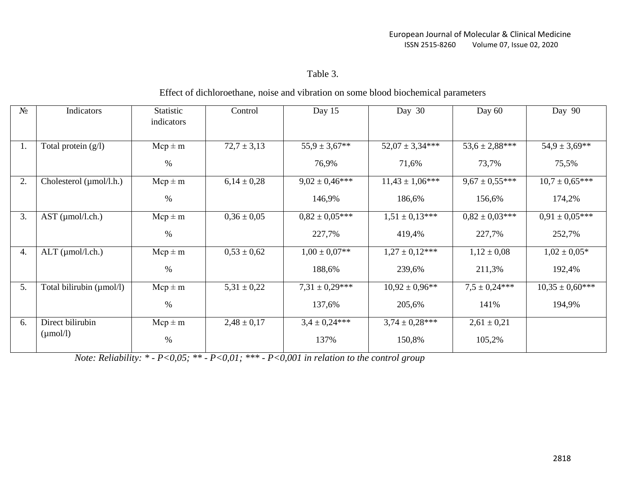# Table 3.

### Effect of dichloroethane, noise and vibration on some blood biochemical parameters

| $N_2$ | Indicators               | Statistic<br>indicators | Control         | Day 15             | Day 30              | Day $60$            | Day 90               |
|-------|--------------------------|-------------------------|-----------------|--------------------|---------------------|---------------------|----------------------|
| 1.    | Total protein $(g/l)$    | $Mcp \pm m$             | $72,7 \pm 3,13$ | $55,9 \pm 3,67$ ** | $52,07 \pm 3,34***$ | $53,6 \pm 2,88$ *** | $54.9 \pm 3.69$ **   |
|       |                          | %                       |                 | 76,9%              | 71,6%               | 73,7%               | 75,5%                |
| 2.    | Cholesterol (µmol/l.h.)  | $Mcp \pm m$             | $6,14 \pm 0,28$ | $9.02 \pm 0.46***$ | $11.43 \pm 1.06***$ | $9,67 \pm 0,55***$  | $10.7 \pm 0.65***$   |
|       |                          | $\%$                    |                 | 146,9%             | 186,6%              | 156,6%              | 174,2%               |
| 3.    | $AST$ ( $µmol/l.ch.$ )   | $Mcp \pm m$             | $0,36 \pm 0,05$ | $0.82 \pm 0.05***$ | $1,51 \pm 0,13***$  | $0.82 \pm 0.03***$  | $0.91 \pm 0.05***$   |
|       |                          | $\%$                    |                 | 227,7%             | 419,4%              | 227,7%              | 252,7%               |
| 4.    | $ALT$ ( $\mu$ mol/l.ch.) | $Mcp \pm m$             | $0,53 \pm 0,62$ | $1,00 \pm 0,07$ ** | $1,27 \pm 0,12***$  | $1,12 \pm 0,08$     | $1,02 \pm 0,05*$     |
|       |                          | $\%$                    |                 | 188,6%             | 239,6%              | 211,3%              | 192,4%               |
| 5.    | Total bilirubin (µmol/l) | $Mcp \pm m$             | $5,31 \pm 0,22$ | $7,31 \pm 0,29***$ | $10,92 \pm 0,96$ ** | $7.5 \pm 0.24***$   | $10,35 \pm 0,60$ *** |
|       |                          | $\%$                    |                 | 137,6%             | 205,6%              | 141%                | 194,9%               |
| 6.    | Direct bilirubin         | $Mcp \pm m$             | $2,48 \pm 0,17$ | $3.4 \pm 0.24***$  | $3,74 \pm 0,28***$  | $2,61 \pm 0,21$     |                      |
|       | $(\mu \text{mol/l})$     | $\%$                    |                 | 137%               | 150,8%              | 105,2%              |                      |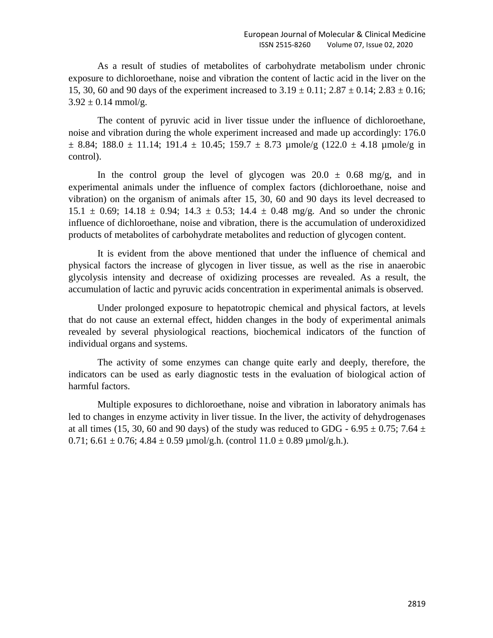As a result of studies of metabolites of carbohydrate metabolism under chronic exposure to dichloroethane, noise and vibration the content of lactic acid in the liver on the 15, 30, 60 and 90 days of the experiment increased to  $3.19 \pm 0.11$ ;  $2.87 \pm 0.14$ ;  $2.83 \pm 0.16$ ;  $3.92 \pm 0.14$  mmol/g.

The content of pyruvic acid in liver tissue under the influence of dichloroethane, noise and vibration during the whole experiment increased and made up accordingly: 176.0  $\pm$  8.84; 188.0  $\pm$  11.14; 191.4  $\pm$  10.45; 159.7  $\pm$  8.73 µmole/g (122.0  $\pm$  4.18 µmole/g in control).

In the control group the level of glycogen was  $20.0 \pm 0.68$  mg/g, and in experimental animals under the influence of complex factors (dichloroethane, noise and vibration) on the organism of animals after 15, 30, 60 and 90 days its level decreased to 15.1  $\pm$  0.69; 14.18  $\pm$  0.94; 14.3  $\pm$  0.53; 14.4  $\pm$  0.48 mg/g. And so under the chronic influence of dichloroethane, noise and vibration, there is the accumulation of underoxidized products of metabolites of carbohydrate metabolites and reduction of glycogen content.

It is evident from the above mentioned that under the influence of chemical and physical factors the increase of glycogen in liver tissue, as well as the rise in anaerobic glycolysis intensity and decrease of oxidizing processes are revealed. As a result, the accumulation of lactic and pyruvic acids concentration in experimental animals is observed.

Under prolonged exposure to hepatotropic chemical and physical factors, at levels that do not cause an external effect, hidden changes in the body of experimental animals revealed by several physiological reactions, biochemical indicators of the function of individual organs and systems.

The activity of some enzymes can change quite early and deeply, therefore, the indicators can be used as early diagnostic tests in the evaluation of biological action of harmful factors.

Multiple exposures to dichloroethane, noise and vibration in laboratory animals has led to changes in enzyme activity in liver tissue. In the liver, the activity of dehydrogenases at all times (15, 30, 60 and 90 days) of the study was reduced to GDG - 6.95  $\pm$  0.75; 7.64  $\pm$ 0.71; 6.61  $\pm$  0.76; 4.84  $\pm$  0.59 µmol/g.h. (control 11.0  $\pm$  0.89 µmol/g.h.).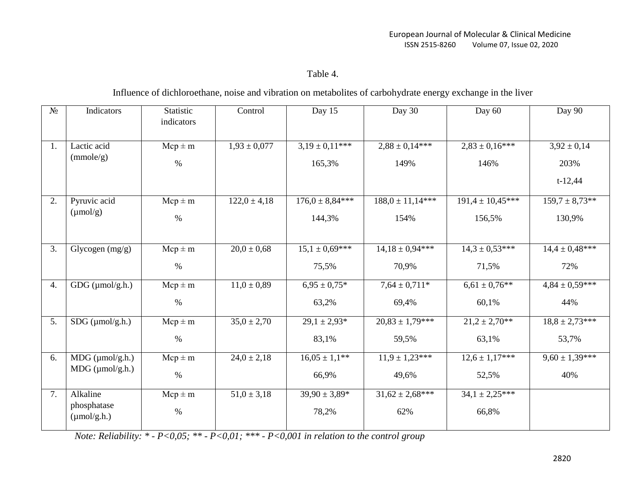## Table 4.

## Influence of dichloroethane, noise and vibration on metabolites of carbohydrate energy exchange in the liver

| $N_2$ | Indicators                             | Statistic<br>indicators | Control          | Day 15              | Day 30               | Day 60               | Day 90              |
|-------|----------------------------------------|-------------------------|------------------|---------------------|----------------------|----------------------|---------------------|
| 1.    | Lactic acid                            | $Mcp \pm m$             | $1,93 \pm 0,077$ | $3,19 \pm 0,11***$  | $2,88 \pm 0,14***$   | $2,83 \pm 0,16$ ***  | $3,92 \pm 0,14$     |
|       | (mmole/g)                              | $\%$                    |                  | 165,3%              | 149%                 | 146%                 | 203%                |
|       |                                        |                         |                  |                     |                      |                      | $t-12,44$           |
| 2.    | Pyruvic acid                           | $Mcp \pm m$             | $122,0 \pm 4,18$ | $176.0 \pm 8.84***$ | $188.0 \pm 11.14***$ | $191.4 \pm 10.45***$ | $159.7 \pm 8.73**$  |
|       | $(\mu \text{mol/g})$                   | $\%$                    |                  | 144,3%              | 154%                 | 156,5%               | 130,9%              |
| 3.    | Glycogen $(mg/g)$                      | $Mcp \pm m$             | $20,0 \pm 0,68$  | $15.1 \pm 0.69***$  | $14,18 \pm 0.94***$  | $14.3 \pm 0.53***$   | $14.4 \pm 0.48***$  |
|       |                                        |                         |                  |                     |                      |                      |                     |
|       |                                        | $\%$                    |                  | 75,5%               | 70,9%                | 71,5%                | 72%                 |
| 4.    | $GDG$ ( $\mu$ mol/g.h.)                | $Mcp \pm m$             | $11.0 \pm 0.89$  | $6.95 \pm 0.75*$    | $7,64 \pm 0,711*$    | $6,61 \pm 0.76$ **   | $4,84 \pm 0,59$ *** |
|       |                                        | $\%$                    |                  | 63,2%               | 69,4%                | 60,1%                | 44%                 |
| 5.    | $SDG$ ( $\mu$ mol/g.h.)                | $Mcp \pm m$             | $35,0 \pm 2,70$  | $29,1 \pm 2,93*$    | $20,83 \pm 1,79***$  | $21,2 \pm 2,70**$    | $18,8 \pm 2,73***$  |
|       |                                        | $\%$                    |                  | 83,1%               | 59,5%                | 63,1%                | 53,7%               |
| 6.    | $MDG$ ( $\mu$ mol/g.h.)                | $Mcp \pm m$             | $24,0 \pm 2,18$  | $16,05 \pm 1,1$ **  | $11.9 \pm 1.23***$   | $12.6 \pm 1.17***$   | $9,60 \pm 1,39***$  |
|       | $MDG$ ( $\mu$ mol/g.h.)                | $\%$                    |                  | 66,9%               | 49,6%                | 52,5%                | 40%                 |
| 7.    | Alkaline                               | $Mcp \pm m$             | $51,0 \pm 3,18$  | $39,90 \pm 3,89*$   | $31,62 \pm 2,68$ *** | $34.1 \pm 2.25***$   |                     |
|       | phosphatase<br>$(\mu \text{mol/g.h.})$ | $\%$                    |                  | 78,2%               | 62%                  | 66,8%                |                     |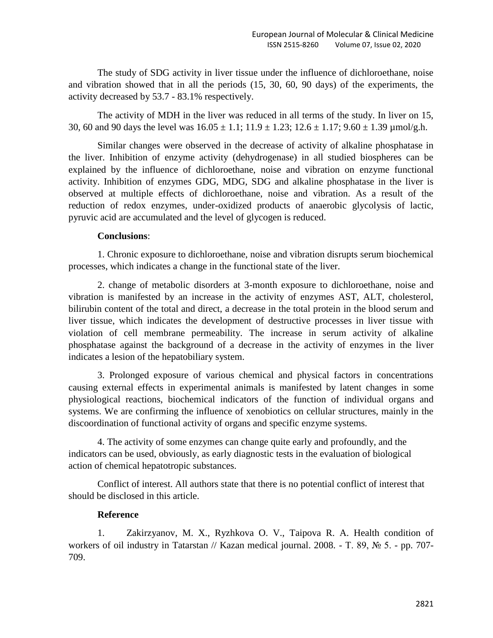The study of SDG activity in liver tissue under the influence of dichloroethane, noise and vibration showed that in all the periods (15, 30, 60, 90 days) of the experiments, the activity decreased by 53.7 - 83.1% respectively.

The activity of MDH in the liver was reduced in all terms of the study. In liver on 15, 30, 60 and 90 days the level was  $16.05 \pm 1.1$ ;  $11.9 \pm 1.23$ ;  $12.6 \pm 1.17$ ;  $9.60 \pm 1.39$  µmol/g.h.

Similar changes were observed in the decrease of activity of alkaline phosphatase in the liver. Inhibition of enzyme activity (dehydrogenase) in all studied biospheres can be explained by the influence of dichloroethane, noise and vibration on enzyme functional activity. Inhibition of enzymes GDG, MDG, SDG and alkaline phosphatase in the liver is observed at multiple effects of dichloroethane, noise and vibration. As a result of the reduction of redox enzymes, under-oxidized products of anaerobic glycolysis of lactic, pyruvic acid are accumulated and the level of glycogen is reduced.

### **Conclusions**:

1. Chronic exposure to dichloroethane, noise and vibration disrupts serum biochemical processes, which indicates a change in the functional state of the liver.

2. change of metabolic disorders at 3-month exposure to dichloroethane, noise and vibration is manifested by an increase in the activity of enzymes AST, ALT, cholesterol, bilirubin content of the total and direct, a decrease in the total protein in the blood serum and liver tissue, which indicates the development of destructive processes in liver tissue with violation of cell membrane permeability. The increase in serum activity of alkaline phosphatase against the background of a decrease in the activity of enzymes in the liver indicates a lesion of the hepatobiliary system.

3. Prolonged exposure of various chemical and physical factors in concentrations causing external effects in experimental animals is manifested by latent changes in some physiological reactions, biochemical indicators of the function of individual organs and systems. We are confirming the influence of xenobiotics on cellular structures, mainly in the discoordination of functional activity of organs and specific enzyme systems.

4. The activity of some enzymes can change quite early and profoundly, and the indicators can be used, obviously, as early diagnostic tests in the evaluation of biological action of chemical hepatotropic substances.

Conflict of interest. All authors state that there is no potential conflict of interest that should be disclosed in this article.

#### **Reference**

1. Zakirzyanov, M. X., Ryzhkova O. V., Taipova R. A. Health condition of workers of oil industry in Tatarstan // Kazan medical journal. 2008. - Т. 89, № 5. - pp. 707- 709.